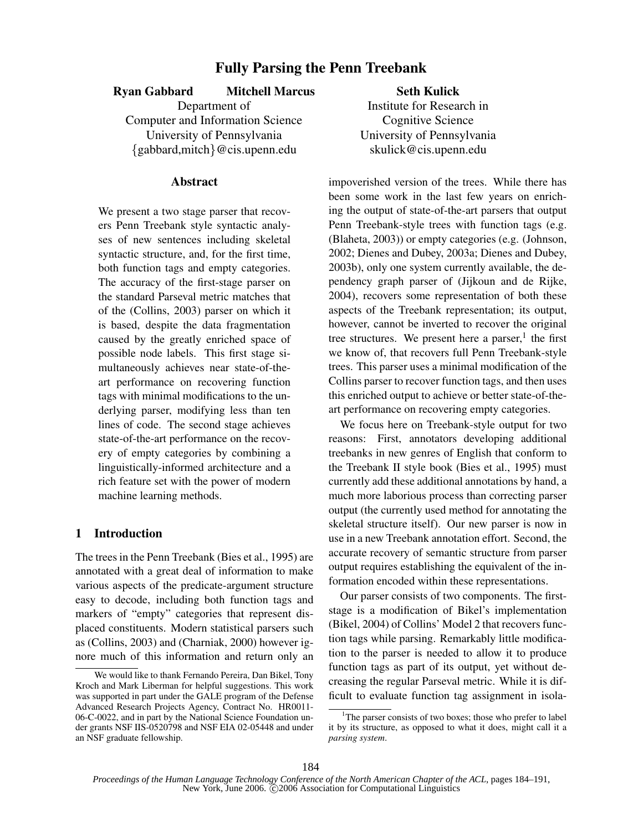# Fully Parsing the Penn Treebank

### Ryan Gabbard Mitchell Marcus

Department of Computer and Information Science University of Pennsylvania {gabbard,mitch}@cis.upenn.edu

## Abstract

We present a two stage parser that recovers Penn Treebank style syntactic analyses of new sentences including skeletal syntactic structure, and, for the first time, both function tags and empty categories. The accuracy of the first-stage parser on the standard Parseval metric matches that of the (Collins, 2003) parser on which it is based, despite the data fragmentation caused by the greatly enriched space of possible node labels. This first stage simultaneously achieves near state-of-theart performance on recovering function tags with minimal modifications to the underlying parser, modifying less than ten lines of code. The second stage achieves state-of-the-art performance on the recovery of empty categories by combining a linguistically-informed architecture and a rich feature set with the power of modern machine learning methods.

## 1 Introduction

The trees in the Penn Treebank (Bies et al., 1995) are annotated with a great deal of information to make various aspects of the predicate-argument structure easy to decode, including both function tags and markers of "empty" categories that represent displaced constituents. Modern statistical parsers such as (Collins, 2003) and (Charniak, 2000) however ignore much of this information and return only an

Seth Kulick Institute for Research in Cognitive Science University of Pennsylvania skulick@cis.upenn.edu

impoverished version of the trees. While there has been some work in the last few years on enriching the output of state-of-the-art parsers that output Penn Treebank-style trees with function tags (e.g. (Blaheta, 2003)) or empty categories (e.g. (Johnson, 2002; Dienes and Dubey, 2003a; Dienes and Dubey, 2003b), only one system currently available, the dependency graph parser of (Jijkoun and de Rijke, 2004), recovers some representation of both these aspects of the Treebank representation; its output, however, cannot be inverted to recover the original tree structures. We present here a parser,<sup>1</sup> the first we know of, that recovers full Penn Treebank-style trees. This parser uses a minimal modification of the Collins parser to recover function tags, and then uses this enriched output to achieve or better state-of-theart performance on recovering empty categories.

We focus here on Treebank-style output for two reasons: First, annotators developing additional treebanks in new genres of English that conform to the Treebank II style book (Bies et al., 1995) must currently add these additional annotations by hand, a much more laborious process than correcting parser output (the currently used method for annotating the skeletal structure itself). Our new parser is now in use in a new Treebank annotation effort. Second, the accurate recovery of semantic structure from parser output requires establishing the equivalent of the information encoded within these representations.

Our parser consists of two components. The firststage is a modification of Bikel's implementation (Bikel, 2004) of Collins' Model 2 that recovers function tags while parsing. Remarkably little modification to the parser is needed to allow it to produce function tags as part of its output, yet without decreasing the regular Parseval metric. While it is difficult to evaluate function tag assignment in isola-

We would like to thank Fernando Pereira, Dan Bikel, Tony Kroch and Mark Liberman for helpful suggestions. This work was supported in part under the GALE program of the Defense Advanced Research Projects Agency, Contract No. HR0011- 06-C-0022, and in part by the National Science Foundation under grants NSF IIS-0520798 and NSF EIA 02-05448 and under an NSF graduate fellowship.

<sup>&</sup>lt;sup>1</sup>The parser consists of two boxes; those who prefer to label it by its structure, as opposed to what it does, might call it a parsing system.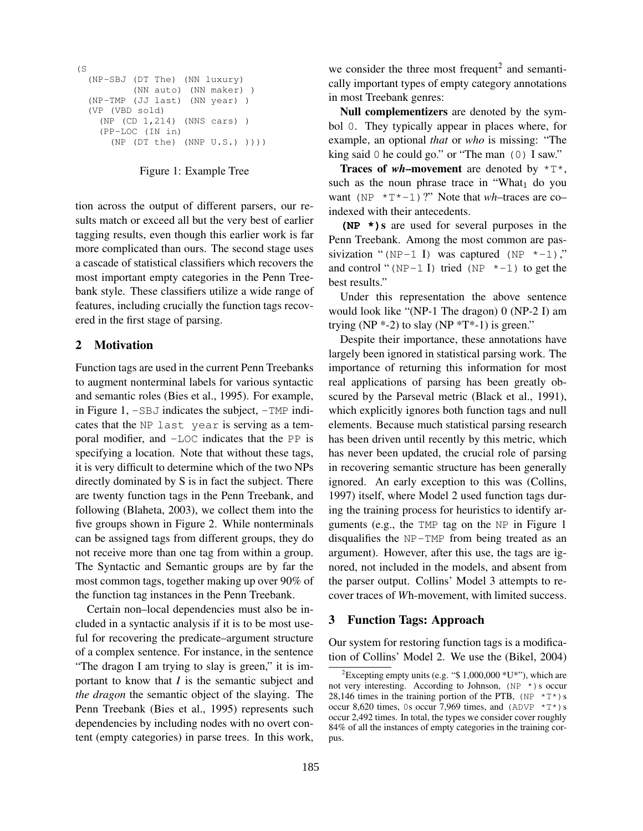```
(S
(NP-SBJ (DT The) (NN luxury)
         (NN auto) (NN maker) )
(NP-TMP (JJ last) (NN year) )
(VP (VBD sold)
   (NP (CD 1,214) (NNS cars) )
  (PP-LOC (IN in)
     (NP (DT the) (NNP U.S.) ))))
```
#### Figure 1: Example Tree

tion across the output of different parsers, our results match or exceed all but the very best of earlier tagging results, even though this earlier work is far more complicated than ours. The second stage uses a cascade of statistical classifiers which recovers the most important empty categories in the Penn Treebank style. These classifiers utilize a wide range of features, including crucially the function tags recovered in the first stage of parsing.

## 2 Motivation

Function tags are used in the current Penn Treebanks to augment nonterminal labels for various syntactic and semantic roles (Bies et al., 1995). For example, in Figure  $1, -SBJ$  indicates the subject,  $-TMP$  indicates that the NP last year is serving as a temporal modifier, and -LOC indicates that the PP is specifying a location. Note that without these tags, it is very difficult to determine which of the two NPs directly dominated by S is in fact the subject. There are twenty function tags in the Penn Treebank, and following (Blaheta, 2003), we collect them into the five groups shown in Figure 2. While nonterminals can be assigned tags from different groups, they do not receive more than one tag from within a group. The Syntactic and Semantic groups are by far the most common tags, together making up over 90% of the function tag instances in the Penn Treebank.

Certain non–local dependencies must also be included in a syntactic analysis if it is to be most useful for recovering the predicate–argument structure of a complex sentence. For instance, in the sentence "The dragon I am trying to slay is green," it is important to know that  $I$  is the semantic subject and the dragon the semantic object of the slaying. The Penn Treebank (Bies et al., 1995) represents such dependencies by including nodes with no overt content (empty categories) in parse trees. In this work,

we consider the three most frequent<sup>2</sup> and semantically important types of empty category annotations in most Treebank genres:

Null complementizers are denoted by the symbol 0. They typically appear in places where, for example, an optional that or who is missing: "The king said 0 he could go." or "The man (0) I saw."

**Traces of wh–movement** are denoted by  $\star$   $\uparrow \star$ , such as the noun phrase trace in "What<sub>1</sub> do you want (NP  $\star$ T $\star$ -1)?" Note that wh-traces are coindexed with their antecedents.

 $(NP \star)$ s are used for several purposes in the Penn Treebank. Among the most common are passivization "(NP-1 I) was captured (NP  $\star$ -1)," and control "( $NP-1$  I) tried ( $NP \neq -1$ ) to get the best results."

Under this representation the above sentence would look like "(NP-1 The dragon) 0 (NP-2 I) am trying  $(NP * -2)$  to slay  $(NP * T * -1)$  is green."

Despite their importance, these annotations have largely been ignored in statistical parsing work. The importance of returning this information for most real applications of parsing has been greatly obscured by the Parseval metric (Black et al., 1991), which explicitly ignores both function tags and null elements. Because much statistical parsing research has been driven until recently by this metric, which has never been updated, the crucial role of parsing in recovering semantic structure has been generally ignored. An early exception to this was (Collins, 1997) itself, where Model 2 used function tags during the training process for heuristics to identify arguments (e.g., the TMP tag on the NP in Figure 1 disqualifies the NP-TMP from being treated as an argument). However, after this use, the tags are ignored, not included in the models, and absent from the parser output. Collins' Model 3 attempts to recover traces of Wh-movement, with limited success.

#### 3 Function Tags: Approach

Our system for restoring function tags is a modification of Collins' Model 2. We use the (Bikel, 2004)

<sup>&</sup>lt;sup>2</sup>Excepting empty units (e.g. "\$ 1,000,000  $*U*$ "), which are not very interesting. According to Johnson,  $(NP \star)$ s occur 28,146 times in the training portion of the PTB,  $(NP \rvert^*T^*)$  s occur 8,620 times, 0s occur 7,969 times, and  $(ADVP *T*)$ s occur 2,492 times. In total, the types we consider cover roughly 84% of all the instances of empty categories in the training corpus.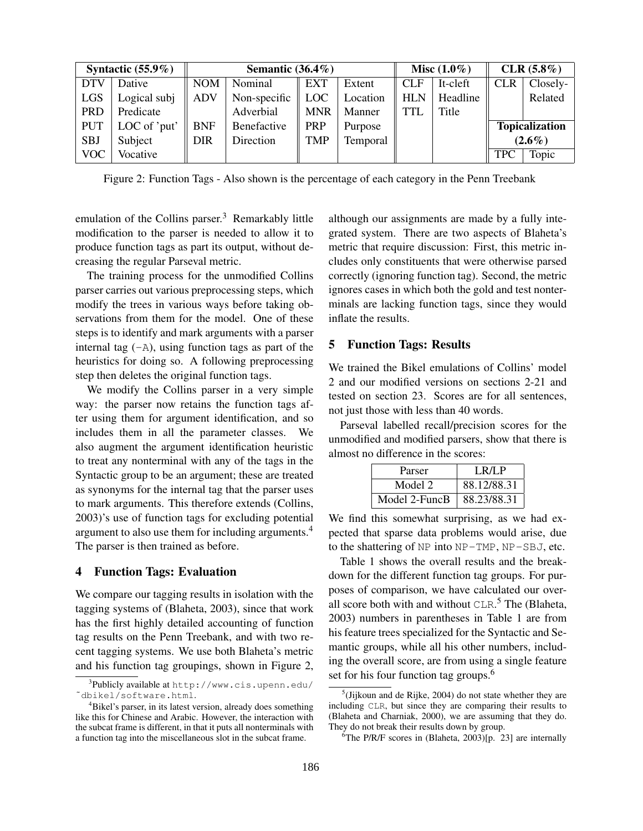| Syntactic $(55.9\%)$ |              | Semantic $(36.4\%)$ |              |            | Misc $(1.0\%)$ |            | $CLR (5.8\%)$ |            |                       |
|----------------------|--------------|---------------------|--------------|------------|----------------|------------|---------------|------------|-----------------------|
| <b>DTV</b>           | Dative       | <b>NOM</b>          | Nominal      | <b>EXT</b> | Extent         | <b>CLF</b> | It-cleft      | <b>CLR</b> | Closely-              |
| <b>LGS</b>           | Logical subj | <b>ADV</b>          | Non-specific | <b>LOC</b> | Location       | <b>HLN</b> | Headline      |            | Related               |
| <b>PRD</b>           | Predicate    |                     | Adverbial    | <b>MNR</b> | Manner         | <b>TTL</b> | Title         |            |                       |
| <b>PUT</b>           | LOC of 'put' | <b>BNF</b>          | Benefactive  | <b>PRP</b> | Purpose        |            |               |            | <b>Topicalization</b> |
| <b>SBJ</b>           | Subject      | <b>DIR</b>          | Direction    | <b>TMP</b> | Temporal       |            |               | $(2.6\%)$  |                       |
| <b>VOC</b>           | Vocative     |                     |              |            |                |            |               | <b>TPC</b> | Topic                 |

Figure 2: Function Tags - Also shown is the percentage of each category in the Penn Treebank

emulation of the Collins parser.<sup>3</sup> Remarkably little modification to the parser is needed to allow it to produce function tags as part its output, without decreasing the regular Parseval metric.

The training process for the unmodified Collins parser carries out various preprocessing steps, which modify the trees in various ways before taking observations from them for the model. One of these steps is to identify and mark arguments with a parser internal tag  $(-A)$ , using function tags as part of the heuristics for doing so. A following preprocessing step then deletes the original function tags.

We modify the Collins parser in a very simple way: the parser now retains the function tags after using them for argument identification, and so includes them in all the parameter classes. We also augment the argument identification heuristic to treat any nonterminal with any of the tags in the Syntactic group to be an argument; these are treated as synonyms for the internal tag that the parser uses to mark arguments. This therefore extends (Collins, 2003)'s use of function tags for excluding potential argument to also use them for including arguments.<sup>4</sup> The parser is then trained as before.

## 4 Function Tags: Evaluation

We compare our tagging results in isolation with the tagging systems of (Blaheta, 2003), since that work has the first highly detailed accounting of function tag results on the Penn Treebank, and with two recent tagging systems. We use both Blaheta's metric and his function tag groupings, shown in Figure 2,

although our assignments are made by a fully integrated system. There are two aspects of Blaheta's metric that require discussion: First, this metric includes only constituents that were otherwise parsed correctly (ignoring function tag). Second, the metric ignores cases in which both the gold and test nonterminals are lacking function tags, since they would inflate the results.

#### 5 Function Tags: Results

We trained the Bikel emulations of Collins' model 2 and our modified versions on sections 2-21 and tested on section 23. Scores are for all sentences, not just those with less than 40 words.

Parseval labelled recall/precision scores for the unmodified and modified parsers, show that there is almost no difference in the scores:

| Parser        | LR/LP       |
|---------------|-------------|
| Model 2       | 88.12/88.31 |
| Model 2-FuncB | 88.23/88.31 |

We find this somewhat surprising, as we had expected that sparse data problems would arise, due to the shattering of NP into NP-TMP, NP-SBJ, etc.

Table 1 shows the overall results and the breakdown for the different function tag groups. For purposes of comparison, we have calculated our overall score both with and without  $CLR$ <sup>5</sup>. The (Blaheta, 2003) numbers in parentheses in Table 1 are from his feature trees specialized for the Syntactic and Semantic groups, while all his other numbers, including the overall score, are from using a single feature set for his four function tag groups.<sup>6</sup>

 $^3$ Publicly available at <code>http://www.cis.upenn.edu/</code> ˜dbikel/software.html.

<sup>&</sup>lt;sup>4</sup>Bikel's parser, in its latest version, already does something like this for Chinese and Arabic. However, the interaction with the subcat frame is different, in that it puts all nonterminals with a function tag into the miscellaneous slot in the subcat frame.

 $<sup>5</sup>$ (Jijkoun and de Rijke, 2004) do not state whether they are</sup> including CLR, but since they are comparing their results to (Blaheta and Charniak, 2000), we are assuming that they do. They do not break their results down by group.

<sup>&</sup>lt;sup>6</sup>The P/R/F scores in (Blaheta, 2003)[p. 23] are internally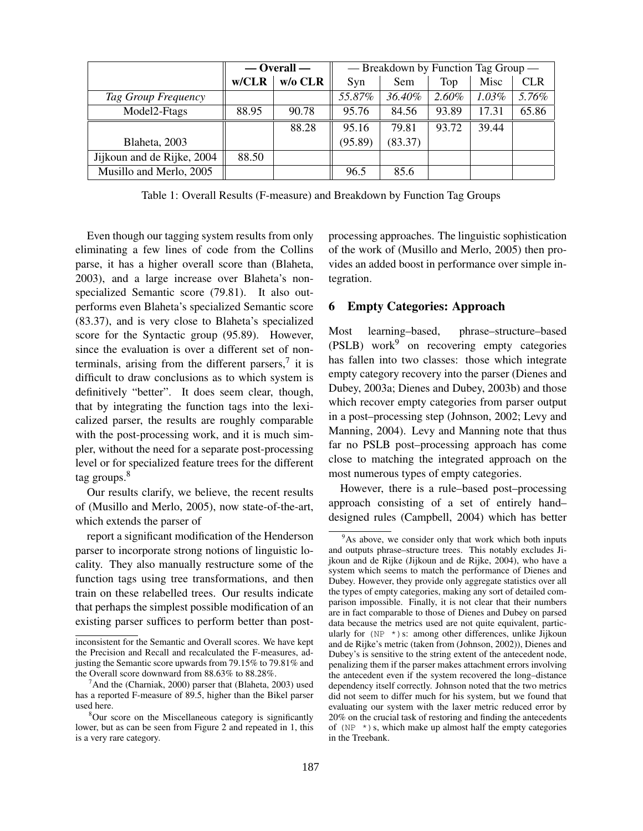|                            | $-$ Overall $-$ |         | — Breakdown by Function Tag Group — |         |       |          |            |
|----------------------------|-----------------|---------|-------------------------------------|---------|-------|----------|------------|
|                            | w/CLR           | w/o CLR | Syn                                 | Sem     | Top   | Misc     | <b>CLR</b> |
| Tag Group Frequency        |                 |         | 55.87%                              | 36.40%  | 2.60% | $1.03\%$ | 5.76%      |
| Model2-Ftags               | 88.95           | 90.78   | 95.76                               | 84.56   | 93.89 | 17.31    | 65.86      |
|                            |                 | 88.28   | 95.16                               | 79.81   | 93.72 | 39.44    |            |
| Blaheta, 2003              |                 |         | (95.89)                             | (83.37) |       |          |            |
| Jijkoun and de Rijke, 2004 | 88.50           |         |                                     |         |       |          |            |
| Musillo and Merlo, 2005    |                 |         | 96.5                                | 85.6    |       |          |            |

Table 1: Overall Results (F-measure) and Breakdown by Function Tag Groups

Even though our tagging system results from only eliminating a few lines of code from the Collins parse, it has a higher overall score than (Blaheta, 2003), and a large increase over Blaheta's nonspecialized Semantic score (79.81). It also outperforms even Blaheta's specialized Semantic score (83.37), and is very close to Blaheta's specialized score for the Syntactic group (95.89). However, since the evaluation is over a different set of nonterminals, arising from the different parsers, $\frac{7}{1}$  it is difficult to draw conclusions as to which system is definitively "better". It does seem clear, though, that by integrating the function tags into the lexicalized parser, the results are roughly comparable with the post-processing work, and it is much simpler, without the need for a separate post-processing level or for specialized feature trees for the different tag groups.<sup>8</sup>

Our results clarify, we believe, the recent results of (Musillo and Merlo, 2005), now state-of-the-art, which extends the parser of

report a significant modification of the Henderson parser to incorporate strong notions of linguistic locality. They also manually restructure some of the function tags using tree transformations, and then train on these relabelled trees. Our results indicate that perhaps the simplest possible modification of an existing parser suffices to perform better than postprocessing approaches. The linguistic sophistication of the work of (Musillo and Merlo, 2005) then provides an added boost in performance over simple integration.

### 6 Empty Categories: Approach

Most learning–based, phrase–structure–based  $(PSLB)$  work $9$  on recovering empty categories has fallen into two classes: those which integrate empty category recovery into the parser (Dienes and Dubey, 2003a; Dienes and Dubey, 2003b) and those which recover empty categories from parser output in a post–processing step (Johnson, 2002; Levy and Manning, 2004). Levy and Manning note that thus far no PSLB post–processing approach has come close to matching the integrated approach on the most numerous types of empty categories.

However, there is a rule–based post–processing approach consisting of a set of entirely hand– designed rules (Campbell, 2004) which has better

inconsistent for the Semantic and Overall scores. We have kept the Precision and Recall and recalculated the F-measures, adjusting the Semantic score upwards from 79.15% to 79.81% and the Overall score downward from 88.63% to 88.28%.

<sup>&</sup>lt;sup>7</sup>And the (Charniak, 2000) parser that (Blaheta, 2003) used has a reported F-measure of 89.5, higher than the Bikel parser used here.

<sup>&</sup>lt;sup>8</sup>Our score on the Miscellaneous category is significantly lower, but as can be seen from Figure 2 and repeated in 1, this is a very rare category.

<sup>&</sup>lt;sup>9</sup>As above, we consider only that work which both inputs and outputs phrase–structure trees. This notably excludes Jijkoun and de Rijke (Jijkoun and de Rijke, 2004), who have a system which seems to match the performance of Dienes and Dubey. However, they provide only aggregate statistics over all the types of empty categories, making any sort of detailed comparison impossible. Finally, it is not clear that their numbers are in fact comparable to those of Dienes and Dubey on parsed data because the metrics used are not quite equivalent, particularly for  $(NP \star)$ s: among other differences, unlike Jijkoun and de Rijke's metric (taken from (Johnson, 2002)), Dienes and Dubey's is sensitive to the string extent of the antecedent node, penalizing them if the parser makes attachment errors involving the antecedent even if the system recovered the long–distance dependency itself correctly. Johnson noted that the two metrics did not seem to differ much for his system, but we found that evaluating our system with the laxer metric reduced error by 20% on the crucial task of restoring and finding the antecedents of ( $NP *$ ) s, which make up almost half the empty categories in the Treebank.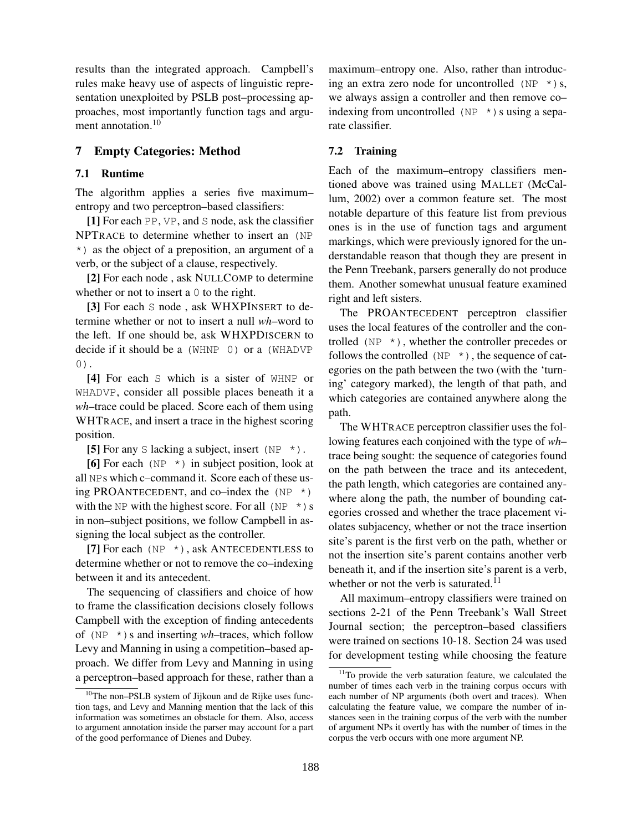results than the integrated approach. Campbell's rules make heavy use of aspects of linguistic representation unexploited by PSLB post–processing approaches, most importantly function tags and argument annotation.<sup>10</sup>

## 7 Empty Categories: Method

## 7.1 Runtime

The algorithm applies a series five maximum– entropy and two perceptron–based classifiers:

[1] For each PP, VP, and S node, ask the classifier NPTRACE to determine whether to insert an (NP \*) as the object of a preposition, an argument of a verb, or the subject of a clause, respectively.

[2] For each node , ask NULLCOMP to determine whether or not to insert a 0 to the right.

[3] For each S node, ask WHXPINSERT to determine whether or not to insert a null wh–word to the left. If one should be, ask WHXPDISCERN to decide if it should be a (WHNP 0) or a (WHADVP 0).

[4] For each S which is a sister of WHNP or WHADVP, consider all possible places beneath it a wh–trace could be placed. Score each of them using WHTRACE, and insert a trace in the highest scoring position.

[5] For any S lacking a subject, insert (NP  $\star$ ).

[6] For each (NP  $\star$ ) in subject position, look at all NPs which c–command it. Score each of these using PROANTECEDENT, and co–index the  $(NP^* )$ with the NP with the highest score. For all (NP  $\star$ ) s in non–subject positions, we follow Campbell in assigning the local subject as the controller.

[7] For each (NP  $\star$ ), ask ANTECEDENTLESS to determine whether or not to remove the co–indexing between it and its antecedent.

The sequencing of classifiers and choice of how to frame the classification decisions closely follows Campbell with the exception of finding antecedents of ( $NP *$ ) s and inserting wh–traces, which follow Levy and Manning in using a competition–based approach. We differ from Levy and Manning in using a perceptron–based approach for these, rather than a

maximum–entropy one. Also, rather than introducing an extra zero node for uncontrolled ( $NP *$ ) s, we always assign a controller and then remove co– indexing from uncontrolled ( $NP *$ ) s using a separate classifier.

### 7.2 Training

Each of the maximum–entropy classifiers mentioned above was trained using MALLET (McCallum, 2002) over a common feature set. The most notable departure of this feature list from previous ones is in the use of function tags and argument markings, which were previously ignored for the understandable reason that though they are present in the Penn Treebank, parsers generally do not produce them. Another somewhat unusual feature examined right and left sisters.

The PROANTECEDENT perceptron classifier uses the local features of the controller and the controlled ( $NP *$ ), whether the controller precedes or follows the controlled ( $NP *$ ), the sequence of categories on the path between the two (with the 'turning' category marked), the length of that path, and which categories are contained anywhere along the path.

The WHTRACE perceptron classifier uses the following features each conjoined with the type of wh– trace being sought: the sequence of categories found on the path between the trace and its antecedent, the path length, which categories are contained anywhere along the path, the number of bounding categories crossed and whether the trace placement violates subjacency, whether or not the trace insertion site's parent is the first verb on the path, whether or not the insertion site's parent contains another verb beneath it, and if the insertion site's parent is a verb, whether or not the verb is saturated. $11$ 

All maximum–entropy classifiers were trained on sections 2-21 of the Penn Treebank's Wall Street Journal section; the perceptron–based classifiers were trained on sections 10-18. Section 24 was used for development testing while choosing the feature

 $10$ The non–PSLB system of Jijkoun and de Rijke uses function tags, and Levy and Manning mention that the lack of this information was sometimes an obstacle for them. Also, access to argument annotation inside the parser may account for a part of the good performance of Dienes and Dubey.

<sup>&</sup>lt;sup>11</sup>To provide the verb saturation feature, we calculated the number of times each verb in the training corpus occurs with each number of NP arguments (both overt and traces). When calculating the feature value, we compare the number of instances seen in the training corpus of the verb with the number of argument NPs it overtly has with the number of times in the corpus the verb occurs with one more argument NP.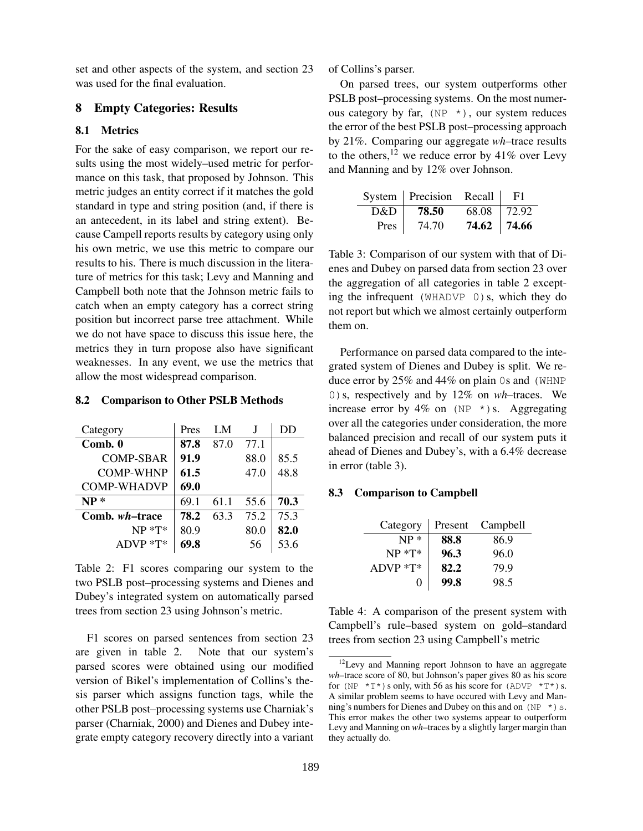set and other aspects of the system, and section 23 was used for the final evaluation.

### 8 Empty Categories: Results

#### 8.1 Metrics

For the sake of easy comparison, we report our results using the most widely–used metric for performance on this task, that proposed by Johnson. This metric judges an entity correct if it matches the gold standard in type and string position (and, if there is an antecedent, in its label and string extent). Because Campell reports results by category using only his own metric, we use this metric to compare our results to his. There is much discussion in the literature of metrics for this task; Levy and Manning and Campbell both note that the Johnson metric fails to catch when an empty category has a correct string position but incorrect parse tree attachment. While we do not have space to discuss this issue here, the metrics they in turn propose also have significant weaknesses. In any event, we use the metrics that allow the most widespread comparison.

### 8.2 Comparison to Other PSLB Methods

| Category               | Pres | LM   |      | DD   |
|------------------------|------|------|------|------|
| Comb. 0                | 87.8 | 87.0 | 77.1 |      |
| COMP-SBAR              | 91.9 |      | 88.0 | 85.5 |
| <b>COMP-WHNP</b>       | 61.5 |      | 47.0 | 48.8 |
| <b>COMP-WHADVP</b>     | 69.0 |      |      |      |
| $NP*$                  | 69.1 | 61.1 | 55.6 | 70.3 |
| Comb. <i>wh</i> –trace | 78.2 | 63.3 | 75.2 | 75.3 |
| $NP * T*$              | 80.9 |      | 80.0 | 82.0 |
| $ADVP * T*$            | 69.8 |      | 56   | 53.6 |

Table 2: F1 scores comparing our system to the two PSLB post–processing systems and Dienes and Dubey's integrated system on automatically parsed trees from section 23 using Johnson's metric.

F1 scores on parsed sentences from section 23 are given in table 2. Note that our system's parsed scores were obtained using our modified version of Bikel's implementation of Collins's thesis parser which assigns function tags, while the other PSLB post–processing systems use Charniak's parser (Charniak, 2000) and Dienes and Dubey integrate empty category recovery directly into a variant of Collins's parser.

On parsed trees, our system outperforms other PSLB post–processing systems. On the most numerous category by far,  $(NP \star)$ , our system reduces the error of the best PSLB post–processing approach by 21%. Comparing our aggregate wh–trace results to the others,  $12$  we reduce error by 41% over Levy and Manning and by 12% over Johnson.

|      | System   Precision Recall |             | F1     |
|------|---------------------------|-------------|--------|
| D&D  | 78.50                     | 68.08       | 172.92 |
| Pres | 74.70                     | 74.62 74.66 |        |

Table 3: Comparison of our system with that of Dienes and Dubey on parsed data from section 23 over the aggregation of all categories in table 2 excepting the infrequent (WHADVP 0)s, which they do not report but which we almost certainly outperform them on.

Performance on parsed data compared to the integrated system of Dienes and Dubey is split. We reduce error by 25% and 44% on plain 0s and (WHNP 0)s, respectively and by 12% on wh–traces. We increase error by  $4\%$  on (NP  $*$ ) s. Aggregating over all the categories under consideration, the more balanced precision and recall of our system puts it ahead of Dienes and Dubey's, with a 6.4% decrease in error (table 3).

#### 8.3 Comparison to Campbell

| Category  | Present | Campbell |
|-----------|---------|----------|
| $NP*$     | 88.8    | 86.9     |
| $NP * T*$ | 96.3    | 96.0     |
| ADVP *T*  | 82.2    | 79.9     |
| 0         | 99.8    | 98.5     |

Table 4: A comparison of the present system with Campbell's rule–based system on gold–standard trees from section 23 using Campbell's metric

<sup>&</sup>lt;sup>12</sup>Levy and Manning report Johnson to have an aggregate wh–trace score of 80, but Johnson's paper gives 80 as his score for (NP  $*T^*$ ) s only, with 56 as his score for (ADVP  $*T^*$ ) s. A similar problem seems to have occured with Levy and Manning's numbers for Dienes and Dubey on this and on  $(NP \star)$  s. This error makes the other two systems appear to outperform Levy and Manning on wh–traces by a slightly larger margin than they actually do.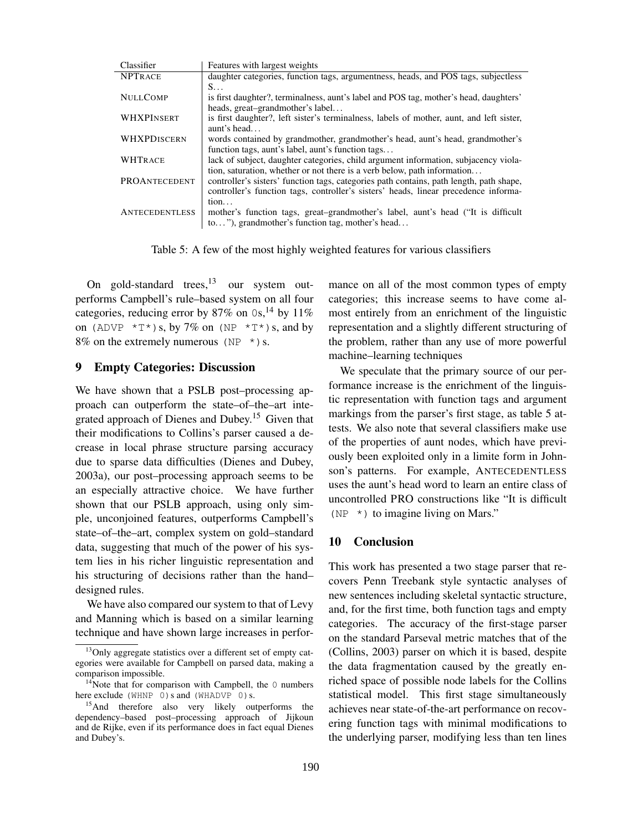| Classifier            | Features with largest weights                                                            |
|-----------------------|------------------------------------------------------------------------------------------|
| <b>NPTRACE</b>        | daughter categories, function tags, argumentness, heads, and POS tags, subjectless       |
|                       | $S_{\cdots}$                                                                             |
| <b>NULLCOMP</b>       | is first daughter?, terminalness, aunt's label and POS tag, mother's head, daughters'    |
|                       | heads, great-grandmother's label                                                         |
| WHXPINSERT            | is first daughter?, left sister's terminalness, labels of mother, aunt, and left sister, |
|                       | aunt's head                                                                              |
| WHXPDISCERN           | words contained by grandmother, grandmother's head, aunt's head, grandmother's           |
|                       | function tags, aunt's label, aunt's function tags                                        |
| <b>WHTRACE</b>        | lack of subject, daughter categories, child argument information, subjacency viola-      |
|                       | tion, saturation, whether or not there is a verb below, path information                 |
| PROANTECEDENT         | controller's sisters' function tags, categories path contains, path length, path shape,  |
|                       | controller's function tags, controller's sisters' heads, linear precedence informa-      |
|                       | tion                                                                                     |
| <b>ANTECEDENTLESS</b> | mother's function tags, great-grandmother's label, aunt's head ("It is difficult         |
|                       | to"), grandmother's function tag, mother's head                                          |

Table 5: A few of the most highly weighted features for various classifiers

On gold-standard trees,  $13$  our system outperforms Campbell's rule–based system on all four categories, reducing error by 87% on  $0s$ , <sup>14</sup> by 11% on (ADVP  $*T^*$ )s, by 7% on (NP  $*T^*$ )s, and by 8% on the extremely numerous ( $NP *$ ) s.

#### 9 Empty Categories: Discussion

We have shown that a PSLB post–processing approach can outperform the state–of–the–art integrated approach of Dienes and Dubey.<sup>15</sup> Given that their modifications to Collins's parser caused a decrease in local phrase structure parsing accuracy due to sparse data difficulties (Dienes and Dubey, 2003a), our post–processing approach seems to be an especially attractive choice. We have further shown that our PSLB approach, using only simple, unconjoined features, outperforms Campbell's state–of–the–art, complex system on gold–standard data, suggesting that much of the power of his system lies in his richer linguistic representation and his structuring of decisions rather than the hand– designed rules.

We have also compared our system to that of Levy and Manning which is based on a similar learning technique and have shown large increases in performance on all of the most common types of empty categories; this increase seems to have come almost entirely from an enrichment of the linguistic representation and a slightly different structuring of the problem, rather than any use of more powerful machine–learning techniques

We speculate that the primary source of our performance increase is the enrichment of the linguistic representation with function tags and argument markings from the parser's first stage, as table 5 attests. We also note that several classifiers make use of the properties of aunt nodes, which have previously been exploited only in a limite form in Johnson's patterns. For example, ANTECEDENTLESS uses the aunt's head word to learn an entire class of uncontrolled PRO constructions like "It is difficult ( $NP *$ ) to imagine living on Mars."

### 10 Conclusion

This work has presented a two stage parser that recovers Penn Treebank style syntactic analyses of new sentences including skeletal syntactic structure, and, for the first time, both function tags and empty categories. The accuracy of the first-stage parser on the standard Parseval metric matches that of the (Collins, 2003) parser on which it is based, despite the data fragmentation caused by the greatly enriched space of possible node labels for the Collins statistical model. This first stage simultaneously achieves near state-of-the-art performance on recovering function tags with minimal modifications to the underlying parser, modifying less than ten lines

<sup>&</sup>lt;sup>13</sup>Only aggregate statistics over a different set of empty categories were available for Campbell on parsed data, making a comparison impossible.

<sup>&</sup>lt;sup>14</sup>Note that for comparison with Campbell, the  $\theta$  numbers here exclude (WHNP 0) s and (WHADVP 0) s.

<sup>&</sup>lt;sup>15</sup>And therefore also very likely outperforms the dependency–based post–processing approach of Jijkoun and de Rijke, even if its performance does in fact equal Dienes and Dubey's.